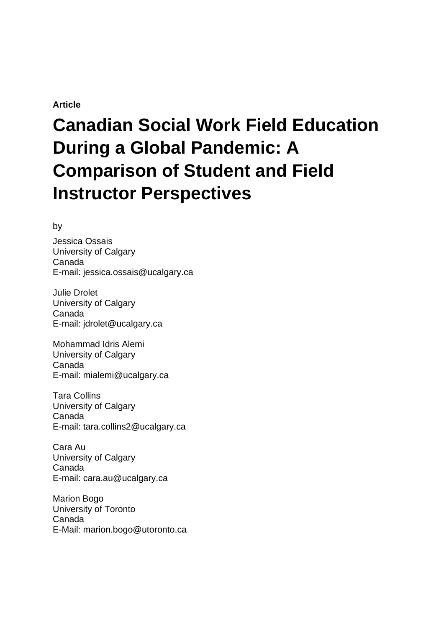# **Article**

# **Canadian Social Work Field Education During a Global Pandemic: A Comparison of Student and Field Instructor Perspectives**

by

Jessica Ossais University of Calgary Canada E-mail: jessica.ossais@ucalgary.ca

Julie Drolet University of Calgary Canada E-mail: jdrolet@ucalgary.ca

Mohammad Idris Alemi University of Calgary Canada E-mail: mialemi@ucalgary.ca

Tara Collins University of Calgary Canada E-mail: tara.collins2@ucalgary.ca

Cara Au University of Calgary Canada E-mail: cara.au@ucalgary.ca

Marion Bogo University of Toronto Canada E-Mail: marion.bogo@utoronto.ca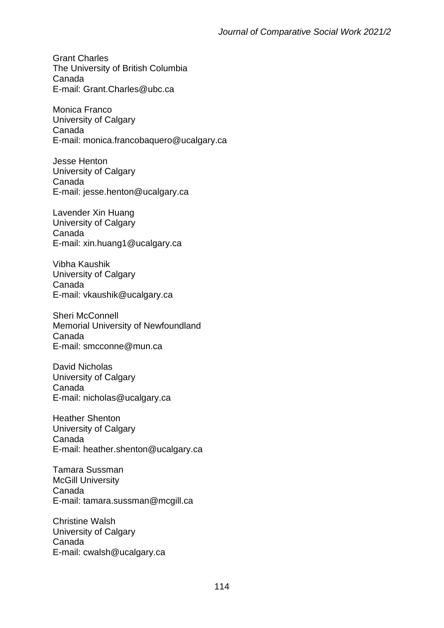Grant Charles The University of British Columbia Canada E-mail: Grant.Charles@ubc.ca

Monica Franco University of Calgary Canada E-mail: monica.francobaquero@ucalgary.ca

Jesse Henton University of Calgary Canada E-mail: jesse.henton@ucalgary.ca

Lavender Xin Huang University of Calgary Canada E-mail: xin.huang1@ucalgary.ca

Vibha Kaushik University of Calgary Canada E-mail: vkaushik@ucalgary.ca

Sheri McConnell Memorial University of Newfoundland Canada E-mail: smcconne@mun.ca

David Nicholas University of Calgary Canada E-mail: nicholas@ucalgary.ca

Heather Shenton University of Calgary Canada E-mail: heather.shenton@ucalgary.ca

Tamara Sussman **McGill University** Canada E-mail: tamara.sussman@mcgill.ca

Christine Walsh University of Calgary Canada E-mail: cwalsh@ucalgary.ca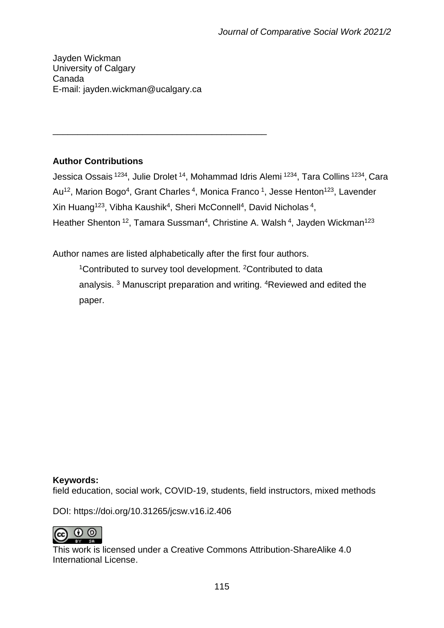Jayden Wickman University of Calgary Canada E-mail: jayden.wickman@ucalgary.ca

\_\_\_\_\_\_\_\_\_\_\_\_\_\_\_\_\_\_\_\_\_\_\_\_\_\_\_\_\_\_\_\_\_\_\_\_\_\_\_\_\_\_\_

# **Author Contributions**

Jessica Ossais <sup>1234</sup>, Julie Drolet <sup>14</sup>, Mohammad Idris Alemi <sup>1234</sup>, Tara Collins <sup>1234</sup>, Cara Au<sup>12</sup>, Marion Bogo<sup>4</sup>, Grant Charles<sup>4</sup>, Monica Franco<sup>1</sup>, Jesse Henton<sup>123</sup>, Lavender Xin Huang<sup>123</sup>, Vibha Kaushik<sup>4</sup>, Sheri McConnell<sup>4</sup>, David Nicholas<sup>4</sup>, Heather Shenton <sup>12</sup>, Tamara Sussman<sup>4</sup>, Christine A. Walsh <sup>4</sup>, Jayden Wickman<sup>123</sup>

Author names are listed alphabetically after the first four authors.

<sup>1</sup>Contributed to survey tool development. <sup>2</sup>Contributed to data analysis. <sup>3</sup> Manuscript preparation and writing. <sup>4</sup>Reviewed and edited the paper.

# **Keywords:**

field education, social work, COVID-19, students, field instructors, mixed methods

DOI: https://doi.org/10.31265/jcsw.v16.i2.406



This work is licensed under a Creative Commons Attribution-ShareAlike 4.0 International License.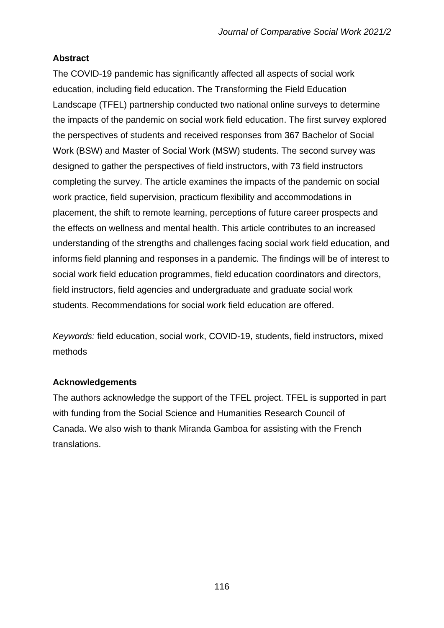# **Abstract**

The COVID-19 pandemic has significantly affected all aspects of social work education, including field education. The Transforming the Field Education Landscape (TFEL) partnership conducted two national online surveys to determine the impacts of the pandemic on social work field education. The first survey explored the perspectives of students and received responses from 367 Bachelor of Social Work (BSW) and Master of Social Work (MSW) students. The second survey was designed to gather the perspectives of field instructors, with 73 field instructors completing the survey. The article examines the impacts of the pandemic on social work practice, field supervision, practicum flexibility and accommodations in placement, the shift to remote learning, perceptions of future career prospects and the effects on wellness and mental health. This article contributes to an increased understanding of the strengths and challenges facing social work field education, and informs field planning and responses in a pandemic. The findings will be of interest to social work field education programmes, field education coordinators and directors, field instructors, field agencies and undergraduate and graduate social work students. Recommendations for social work field education are offered.

*Keywords:* field education, social work, COVID-19, students, field instructors, mixed methods

# **Acknowledgements**

The authors acknowledge the support of the TFEL project. TFEL is supported in part with funding from the Social Science and Humanities Research Council of Canada. We also wish to thank Miranda Gamboa for assisting with the French translations.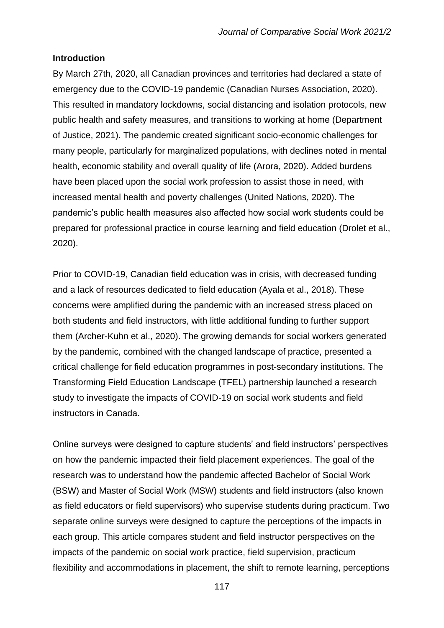#### **Introduction**

By March 27th, 2020, all Canadian provinces and territories had declared a state of emergency due to the COVID-19 pandemic (Canadian Nurses Association, 2020). This resulted in mandatory lockdowns, social distancing and isolation protocols, new public health and safety measures, and transitions to working at home (Department of Justice, 2021). The pandemic created significant socio-economic challenges for many people, particularly for marginalized populations, with declines noted in mental health, economic stability and overall quality of life (Arora, 2020). Added burdens have been placed upon the social work profession to assist those in need, with increased mental health and poverty challenges (United Nations, 2020). The pandemic's public health measures also affected how social work students could be prepared for professional practice in course learning and field education (Drolet et al., 2020).

Prior to COVID-19, Canadian field education was in crisis, with decreased funding and a lack of resources dedicated to field education (Ayala et al., 2018). These concerns were amplified during the pandemic with an increased stress placed on both students and field instructors, with little additional funding to further support them (Archer-Kuhn et al., 2020). The growing demands for social workers generated by the pandemic, combined with the changed landscape of practice, presented a critical challenge for field education programmes in post-secondary institutions. The Transforming Field Education Landscape (TFEL) partnership launched a research study to investigate the impacts of COVID-19 on social work students and field instructors in Canada.

Online surveys were designed to capture students' and field instructors' perspectives on how the pandemic impacted their field placement experiences. The goal of the research was to understand how the pandemic affected Bachelor of Social Work (BSW) and Master of Social Work (MSW) students and field instructors (also known as field educators or field supervisors) who supervise students during practicum. Two separate online surveys were designed to capture the perceptions of the impacts in each group. This article compares student and field instructor perspectives on the impacts of the pandemic on social work practice, field supervision, practicum flexibility and accommodations in placement, the shift to remote learning, perceptions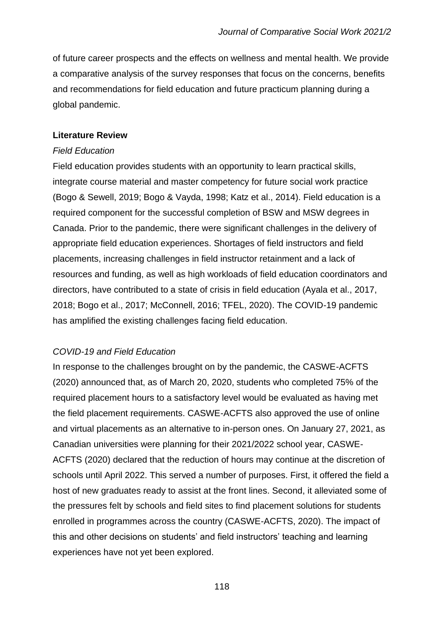of future career prospects and the effects on wellness and mental health. We provide a comparative analysis of the survey responses that focus on the concerns, benefits and recommendations for field education and future practicum planning during a global pandemic.

## **Literature Review**

### *Field Education*

Field education provides students with an opportunity to learn practical skills, integrate course material and master competency for future social work practice (Bogo & Sewell, 2019; Bogo & Vayda, 1998; Katz et al., 2014). Field education is a required component for the successful completion of BSW and MSW degrees in Canada. Prior to the pandemic, there were significant challenges in the delivery of appropriate field education experiences. Shortages of field instructors and field placements, increasing challenges in field instructor retainment and a lack of resources and funding, as well as high workloads of field education coordinators and directors, have contributed to a state of crisis in field education (Ayala et al., 2017, 2018; Bogo et al., 2017; McConnell, 2016; TFEL, 2020). The COVID-19 pandemic has amplified the existing challenges facing field education.

# *COVID-19 and Field Education*

In response to the challenges brought on by the pandemic, the CASWE-ACFTS (2020) announced that, as of March 20, 2020, students who completed 75% of the required placement hours to a satisfactory level would be evaluated as having met the field placement requirements. CASWE-ACFTS also approved the use of online and virtual placements as an alternative to in-person ones. On January 27, 2021, as Canadian universities were planning for their 2021/2022 school year, CASWE-ACFTS (2020) declared that the reduction of hours may continue at the discretion of schools until April 2022. This served a number of purposes. First, it offered the field a host of new graduates ready to assist at the front lines. Second, it alleviated some of the pressures felt by schools and field sites to find placement solutions for students enrolled in programmes across the country (CASWE-ACFTS, 2020). The impact of this and other decisions on students' and field instructors' teaching and learning experiences have not yet been explored.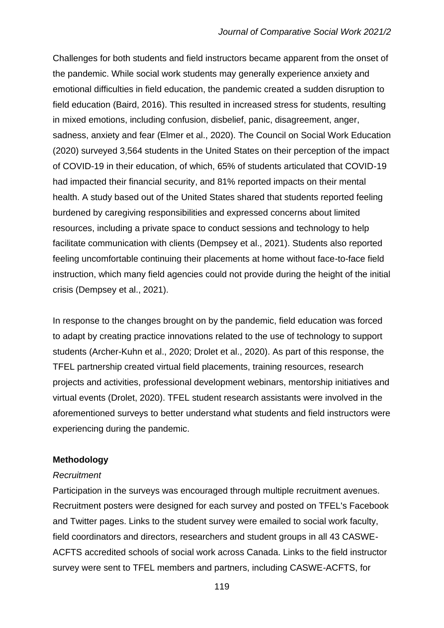Challenges for both students and field instructors became apparent from the onset of the pandemic. While social work students may generally experience anxiety and emotional difficulties in field education, the pandemic created a sudden disruption to field education (Baird, 2016). This resulted in increased stress for students, resulting in mixed emotions, including confusion, disbelief, panic, disagreement, anger, sadness, anxiety and fear (Elmer et al., 2020). The Council on Social Work Education (2020) surveyed 3,564 students in the United States on their perception of the impact of COVID-19 in their education, of which, 65% of students articulated that COVID-19 had impacted their financial security, and 81% reported impacts on their mental health. A study based out of the United States shared that students reported feeling burdened by caregiving responsibilities and expressed concerns about limited resources, including a private space to conduct sessions and technology to help facilitate communication with clients (Dempsey et al., 2021). Students also reported feeling uncomfortable continuing their placements at home without face-to-face field instruction, which many field agencies could not provide during the height of the initial crisis (Dempsey et al., 2021).

In response to the changes brought on by the pandemic, field education was forced to adapt by creating practice innovations related to the use of technology to support students (Archer-Kuhn et al., 2020; Drolet et al., 2020). As part of this response, the TFEL partnership created virtual field placements, training resources, research projects and activities, professional development webinars, mentorship initiatives and virtual events (Drolet, 2020). TFEL student research assistants were involved in the aforementioned surveys to better understand what students and field instructors were experiencing during the pandemic.

## **Methodology**

#### *Recruitment*

Participation in the surveys was encouraged through multiple recruitment avenues. Recruitment posters were designed for each survey and posted on TFEL's Facebook and Twitter pages. Links to the student survey were emailed to social work faculty, field coordinators and directors, researchers and student groups in all 43 CASWE-ACFTS accredited schools of social work across Canada. Links to the field instructor survey were sent to TFEL members and partners, including CASWE-ACFTS, for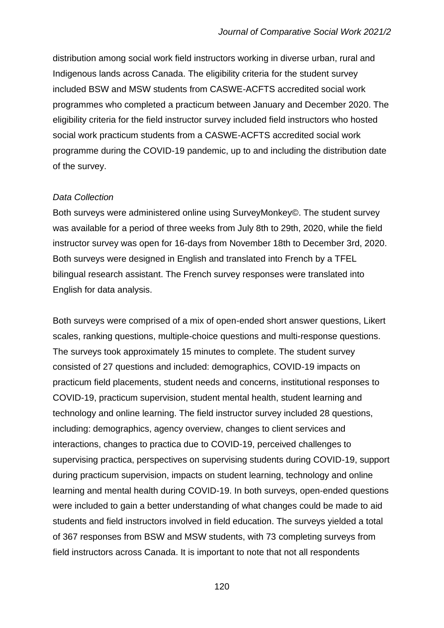distribution among social work field instructors working in diverse urban, rural and Indigenous lands across Canada. The eligibility criteria for the student survey included BSW and MSW students from CASWE-ACFTS accredited social work programmes who completed a practicum between January and December 2020. The eligibility criteria for the field instructor survey included field instructors who hosted social work practicum students from a CASWE-ACFTS accredited social work programme during the COVID-19 pandemic, up to and including the distribution date of the survey.

#### *Data Collection*

Both surveys were administered online using SurveyMonkey©. The student survey was available for a period of three weeks from July 8th to 29th, 2020, while the field instructor survey was open for 16-days from November 18th to December 3rd, 2020. Both surveys were designed in English and translated into French by a TFEL bilingual research assistant. The French survey responses were translated into English for data analysis.

Both surveys were comprised of a mix of open-ended short answer questions, Likert scales, ranking questions, multiple-choice questions and multi-response questions. The surveys took approximately 15 minutes to complete. The student survey consisted of 27 questions and included: demographics, COVID-19 impacts on practicum field placements, student needs and concerns, institutional responses to COVID-19, practicum supervision, student mental health, student learning and technology and online learning. The field instructor survey included 28 questions, including: demographics, agency overview, changes to client services and interactions, changes to practica due to COVID-19, perceived challenges to supervising practica, perspectives on supervising students during COVID-19, support during practicum supervision, impacts on student learning, technology and online learning and mental health during COVID-19. In both surveys, open-ended questions were included to gain a better understanding of what changes could be made to aid students and field instructors involved in field education. The surveys yielded a total of 367 responses from BSW and MSW students, with 73 completing surveys from field instructors across Canada. It is important to note that not all respondents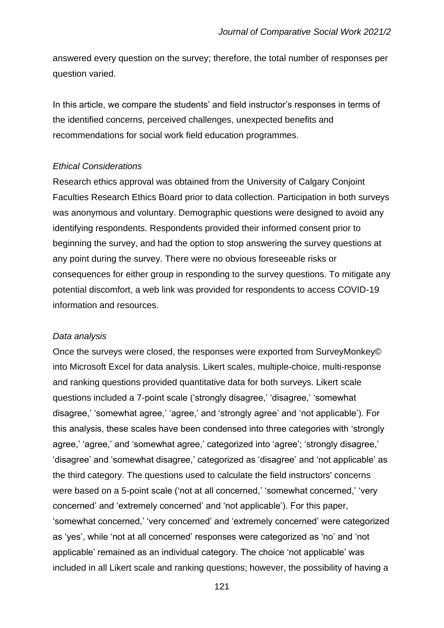answered every question on the survey; therefore, the total number of responses per question varied.

In this article, we compare the students' and field instructor's responses in terms of the identified concerns, perceived challenges, unexpected benefits and recommendations for social work field education programmes.

#### *Ethical Considerations*

Research ethics approval was obtained from the University of Calgary Conjoint Faculties Research Ethics Board prior to data collection. Participation in both surveys was anonymous and voluntary. Demographic questions were designed to avoid any identifying respondents. Respondents provided their informed consent prior to beginning the survey, and had the option to stop answering the survey questions at any point during the survey. There were no obvious foreseeable risks or consequences for either group in responding to the survey questions. To mitigate any potential discomfort, a web link was provided for respondents to access COVID-19 information and resources.

## *Data analysis*

Once the surveys were closed, the responses were exported from SurveyMonkey© into Microsoft Excel for data analysis. Likert scales, multiple-choice, multi-response and ranking questions provided quantitative data for both surveys. Likert scale questions included a 7-point scale ('strongly disagree,' 'disagree,' 'somewhat disagree,' 'somewhat agree,' 'agree,' and 'strongly agree' and 'not applicable'). For this analysis, these scales have been condensed into three categories with 'strongly agree,' 'agree,' and 'somewhat agree,' categorized into 'agree'; 'strongly disagree,' 'disagree' and 'somewhat disagree,' categorized as 'disagree' and 'not applicable' as the third category. The questions used to calculate the field instructors' concerns were based on a 5-point scale ('not at all concerned,' 'somewhat concerned,' 'very concerned' and 'extremely concerned' and 'not applicable'). For this paper, 'somewhat concerned,' 'very concerned' and 'extremely concerned' were categorized as 'yes', while 'not at all concerned' responses were categorized as 'no' and 'not applicable' remained as an individual category. The choice 'not applicable' was included in all Likert scale and ranking questions; however, the possibility of having a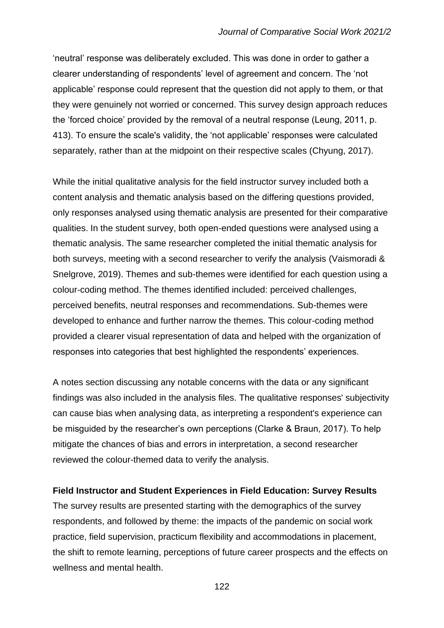'neutral' response was deliberately excluded. This was done in order to gather a clearer understanding of respondents' level of agreement and concern. The 'not applicable' response could represent that the question did not apply to them, or that they were genuinely not worried or concerned. This survey design approach reduces the 'forced choice' provided by the removal of a neutral response (Leung, 2011, p. 413). To ensure the scale's validity, the 'not applicable' responses were calculated separately, rather than at the midpoint on their respective scales (Chyung, 2017).

While the initial qualitative analysis for the field instructor survey included both a content analysis and thematic analysis based on the differing questions provided, only responses analysed using thematic analysis are presented for their comparative qualities. In the student survey, both open-ended questions were analysed using a thematic analysis. The same researcher completed the initial thematic analysis for both surveys, meeting with a second researcher to verify the analysis (Vaismoradi & Snelgrove, 2019). Themes and sub-themes were identified for each question using a colour-coding method. The themes identified included: perceived challenges, perceived benefits, neutral responses and recommendations. Sub-themes were developed to enhance and further narrow the themes. This colour-coding method provided a clearer visual representation of data and helped with the organization of responses into categories that best highlighted the respondents' experiences.

A notes section discussing any notable concerns with the data or any significant findings was also included in the analysis files. The qualitative responses' subjectivity can cause bias when analysing data, as interpreting a respondent's experience can be misguided by the researcher's own perceptions (Clarke & Braun, 2017). To help mitigate the chances of bias and errors in interpretation, a second researcher reviewed the colour-themed data to verify the analysis.

# **Field Instructor and Student Experiences in Field Education: Survey Results**

The survey results are presented starting with the demographics of the survey respondents, and followed by theme: the impacts of the pandemic on social work practice, field supervision, practicum flexibility and accommodations in placement, the shift to remote learning, perceptions of future career prospects and the effects on wellness and mental health.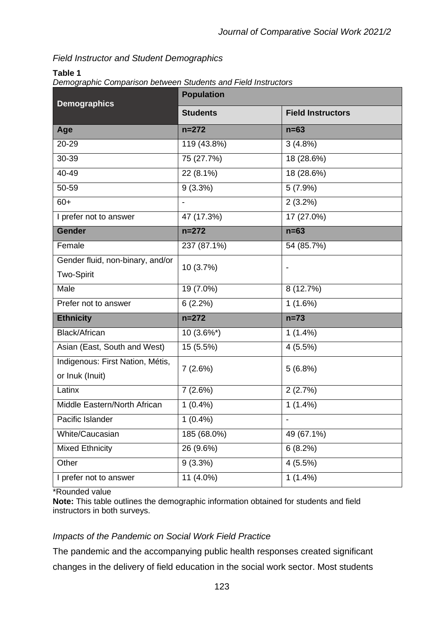# *Field Instructor and Student Demographics*

## **Table 1**

|--|

| <b>Demographics</b>                                 | <b>Population</b> |                          |  |  |  |  |
|-----------------------------------------------------|-------------------|--------------------------|--|--|--|--|
|                                                     | <b>Students</b>   | <b>Field Instructors</b> |  |  |  |  |
| Age                                                 | $n = 272$         | $n=63$                   |  |  |  |  |
| 20-29                                               | 119 (43.8%)       | $3(4.8\%)$               |  |  |  |  |
| 30-39                                               | 75 (27.7%)        | 18 (28.6%)               |  |  |  |  |
| 40-49                                               | 22 (8.1%)         | 18 (28.6%)               |  |  |  |  |
| 50-59                                               | $9(3.3\%)$        | $5(7.9\%)$               |  |  |  |  |
| $60+$                                               |                   | $2(3.2\%)$               |  |  |  |  |
| I prefer not to answer                              | 47 (17.3%)        | $\overline{17}$ (27.0%)  |  |  |  |  |
| <b>Gender</b>                                       | $n = 272$         | $n=63$                   |  |  |  |  |
| Female                                              | 237 (87.1%)       | 54 (85.7%)               |  |  |  |  |
| Gender fluid, non-binary, and/or                    | 10 (3.7%)         |                          |  |  |  |  |
| <b>Two-Spirit</b>                                   |                   |                          |  |  |  |  |
| Male                                                | 19 (7.0%)         | 8 (12.7%)                |  |  |  |  |
| Prefer not to answer                                | 6(2.2%)           | $1(1.6\%)$               |  |  |  |  |
| <b>Ethnicity</b>                                    | $n = 272$         | $n=73$                   |  |  |  |  |
| Black/African                                       | $10(3.6\%*)$      | $1(1.4\%)$               |  |  |  |  |
| Asian (East, South and West)                        | 15 (5.5%)         | 4(5.5%)                  |  |  |  |  |
| Indigenous: First Nation, Métis,<br>or Inuk (Inuit) | 7(2.6%)           | 5(6.8%)                  |  |  |  |  |
| Latinx                                              | 7(2.6%)           | 2(2.7%)                  |  |  |  |  |
| Middle Eastern/North African                        | $1(0.4\%)$        | $1(1.4\%)$               |  |  |  |  |
| Pacific Islander                                    | $1(0.4\%)$        |                          |  |  |  |  |
| White/Caucasian                                     | 185 (68.0%)       | 49 (67.1%)               |  |  |  |  |
| <b>Mixed Ethnicity</b>                              | 26 (9.6%)         | 6(8.2%)                  |  |  |  |  |
| Other                                               | $9(3.3\%)$        | 4(5.5%)                  |  |  |  |  |
| I prefer not to answer                              | $11(4.0\%)$       | $1(1.4\%)$               |  |  |  |  |

\*Rounded value

**Note:** This table outlines the demographic information obtained for students and field instructors in both surveys.

# *Impacts of the Pandemic on Social Work Field Practice*

The pandemic and the accompanying public health responses created significant changes in the delivery of field education in the social work sector. Most students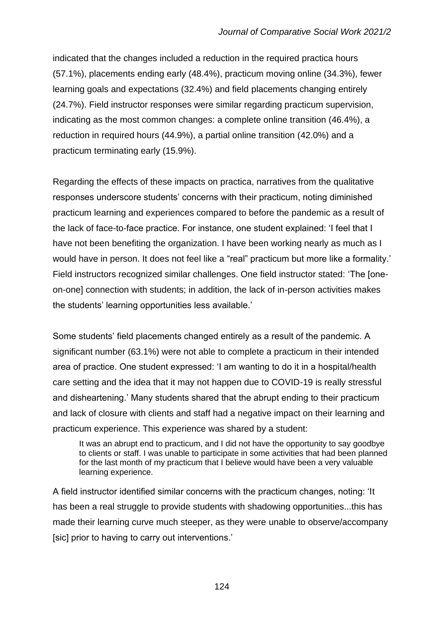indicated that the changes included a reduction in the required practica hours (57.1%), placements ending early (48.4%), practicum moving online (34.3%), fewer learning goals and expectations (32.4%) and field placements changing entirely (24.7%). Field instructor responses were similar regarding practicum supervision, indicating as the most common changes: a complete online transition (46.4%), a reduction in required hours (44.9%), a partial online transition (42.0%) and a practicum terminating early (15.9%).

Regarding the effects of these impacts on practica, narratives from the qualitative responses underscore students' concerns with their practicum, noting diminished practicum learning and experiences compared to before the pandemic as a result of the lack of face-to-face practice. For instance, one student explained: 'I feel that I have not been benefiting the organization. I have been working nearly as much as I would have in person. It does not feel like a "real" practicum but more like a formality.' Field instructors recognized similar challenges. One field instructor stated: 'The [oneon-one] connection with students; in addition, the lack of in-person activities makes the students' learning opportunities less available.'

Some students' field placements changed entirely as a result of the pandemic. A significant number (63.1%) were not able to complete a practicum in their intended area of practice. One student expressed: 'I am wanting to do it in a hospital/health care setting and the idea that it may not happen due to COVID-19 is really stressful and disheartening.' Many students shared that the abrupt ending to their practicum and lack of closure with clients and staff had a negative impact on their learning and practicum experience. This experience was shared by a student:

It was an abrupt end to practicum, and I did not have the opportunity to say goodbye to clients or staff. I was unable to participate in some activities that had been planned for the last month of my practicum that I believe would have been a very valuable learning experience.

A field instructor identified similar concerns with the practicum changes, noting: 'It has been a real struggle to provide students with shadowing opportunities...this has made their learning curve much steeper, as they were unable to observe/accompany [sic] prior to having to carry out interventions.'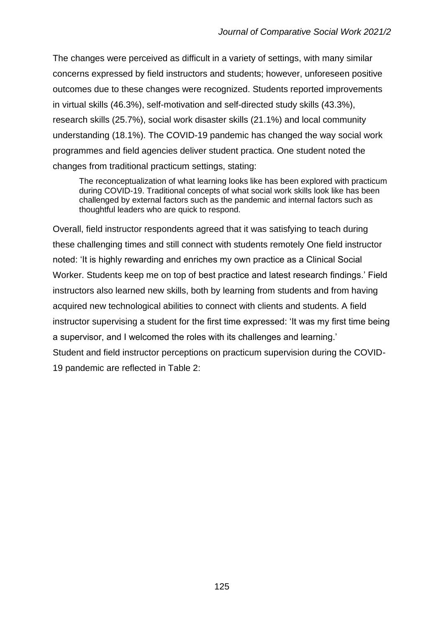The changes were perceived as difficult in a variety of settings, with many similar concerns expressed by field instructors and students; however, unforeseen positive outcomes due to these changes were recognized. Students reported improvements in virtual skills (46.3%), self-motivation and self-directed study skills (43.3%), research skills (25.7%), social work disaster skills (21.1%) and local community understanding (18.1%). The COVID-19 pandemic has changed the way social work programmes and field agencies deliver student practica. One student noted the changes from traditional practicum settings, stating:

The reconceptualization of what learning looks like has been explored with practicum during COVID-19. Traditional concepts of what social work skills look like has been challenged by external factors such as the pandemic and internal factors such as thoughtful leaders who are quick to respond.

Overall, field instructor respondents agreed that it was satisfying to teach during these challenging times and still connect with students remotely One field instructor noted: 'It is highly rewarding and enriches my own practice as a Clinical Social Worker. Students keep me on top of best practice and latest research findings.' Field instructors also learned new skills, both by learning from students and from having acquired new technological abilities to connect with clients and students. A field instructor supervising a student for the first time expressed: 'It was my first time being a supervisor, and I welcomed the roles with its challenges and learning.' Student and field instructor perceptions on practicum supervision during the COVID-19 pandemic are reflected in Table 2: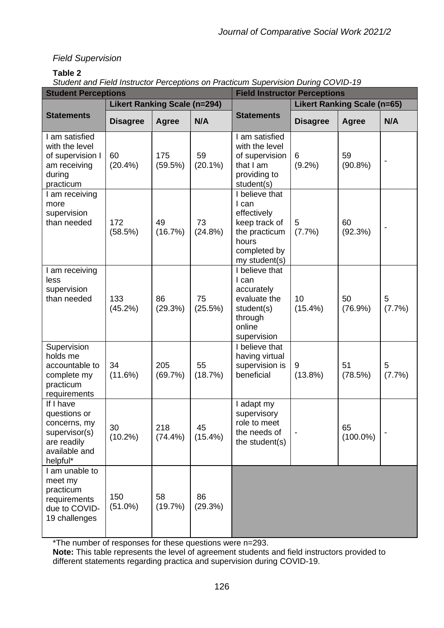# *Field Supervision*

## **Table 2**

*Student and Field Instructor Perceptions on Practicum Supervision During COVID-19* 

| <b>Student Perceptions</b>                                                                             |                                     |                   | <b>Field Instructor Perceptions</b> |                                                                                                                    |                                    |                   |             |
|--------------------------------------------------------------------------------------------------------|-------------------------------------|-------------------|-------------------------------------|--------------------------------------------------------------------------------------------------------------------|------------------------------------|-------------------|-------------|
|                                                                                                        | <b>Likert Ranking Scale (n=294)</b> |                   |                                     |                                                                                                                    | <b>Likert Ranking Scale (n=65)</b> |                   |             |
| <b>Statements</b>                                                                                      | <b>Disagree</b>                     | <b>Agree</b>      | N/A                                 | <b>Statements</b>                                                                                                  | <b>Disagree</b>                    | <b>Agree</b>      | N/A         |
| I am satisfied<br>with the level<br>of supervision I<br>am receiving<br>during<br>practicum            | 60<br>$(20.4\%)$                    | 175<br>(59.5%)    | 59<br>$(20.1\%)$                    | I am satisfied<br>with the level<br>of supervision<br>that I am<br>providing to<br>student(s)                      | 6<br>$(9.2\%)$                     | 59<br>$(90.8\%)$  |             |
| I am receiving<br>more<br>supervision<br>than needed                                                   | 172<br>(58.5%)                      | 49<br>(16.7%)     | 73<br>(24.8%)                       | I believe that<br>I can<br>effectively<br>keep track of<br>the practicum<br>hours<br>completed by<br>my student(s) | 5<br>(7.7%)                        | 60<br>(92.3%)     |             |
| am receiving<br>less<br>supervision<br>than needed                                                     | 133<br>(45.2%)                      | 86<br>(29.3%)     | 75<br>(25.5%)                       | I believe that<br>I can<br>accurately<br>evaluate the<br>student(s)<br>through<br>online<br>supervision            | 10<br>$(15.4\%)$                   | 50<br>$(76.9\%)$  | 5<br>(7.7%) |
| Supervision<br>holds me<br>accountable to<br>complete my<br>practicum<br>requirements                  | 34<br>(11.6%)                       | 205<br>(69.7%)    | 55<br>(18.7%)                       | I believe that<br>having virtual<br>supervision is<br>beneficial                                                   | 9<br>$(13.8\%)$                    | 51<br>(78.5%)     | 5<br>(7.7%) |
| If I have<br>questions or<br>concerns, my<br>supervisor(s)<br>are readily<br>available and<br>helpful* | 30<br>$(10.2\%)$                    | 218<br>$(74.4\%)$ | 45<br>$(15.4\%)$                    | I adapt my<br>supervisory<br>role to meet<br>the needs of<br>the student(s)                                        |                                    | 65<br>$(100.0\%)$ |             |
| I am unable to<br>meet my<br>practicum<br>requirements<br>due to COVID-<br>19 challenges               | 150<br>$(51.0\%)$                   | 58<br>(19.7%)     | 86<br>(29.3%)                       |                                                                                                                    |                                    |                   |             |

\*The number of responses for these questions were n=293.

**Note:** This table represents the level of agreement students and field instructors provided to different statements regarding practica and supervision during COVID-19.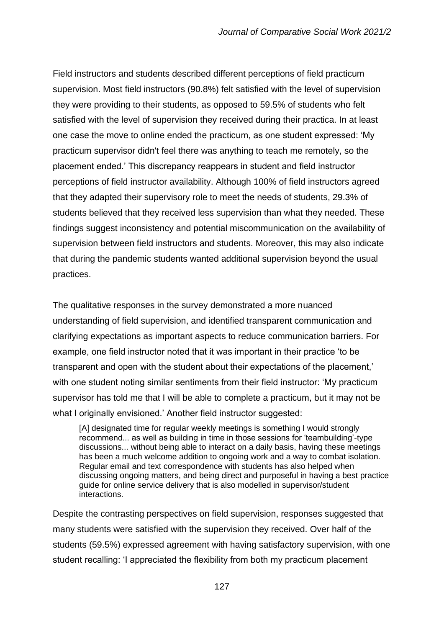Field instructors and students described different perceptions of field practicum supervision. Most field instructors (90.8%) felt satisfied with the level of supervision they were providing to their students, as opposed to 59.5% of students who felt satisfied with the level of supervision they received during their practica. In at least one case the move to online ended the practicum, as one student expressed: 'My practicum supervisor didn't feel there was anything to teach me remotely, so the placement ended.' This discrepancy reappears in student and field instructor perceptions of field instructor availability. Although 100% of field instructors agreed that they adapted their supervisory role to meet the needs of students, 29.3% of students believed that they received less supervision than what they needed. These findings suggest inconsistency and potential miscommunication on the availability of supervision between field instructors and students. Moreover, this may also indicate that during the pandemic students wanted additional supervision beyond the usual practices.

The qualitative responses in the survey demonstrated a more nuanced understanding of field supervision, and identified transparent communication and clarifying expectations as important aspects to reduce communication barriers. For example, one field instructor noted that it was important in their practice 'to be transparent and open with the student about their expectations of the placement,' with one student noting similar sentiments from their field instructor: 'My practicum supervisor has told me that I will be able to complete a practicum, but it may not be what I originally envisioned.' Another field instructor suggested:

[A] designated time for regular weekly meetings is something I would strongly recommend... as well as building in time in those sessions for 'teambuilding'-type discussions... without being able to interact on a daily basis, having these meetings has been a much welcome addition to ongoing work and a way to combat isolation. Regular email and text correspondence with students has also helped when discussing ongoing matters, and being direct and purposeful in having a best practice guide for online service delivery that is also modelled in supervisor/student interactions.

Despite the contrasting perspectives on field supervision, responses suggested that many students were satisfied with the supervision they received. Over half of the students (59.5%) expressed agreement with having satisfactory supervision, with one student recalling: 'I appreciated the flexibility from both my practicum placement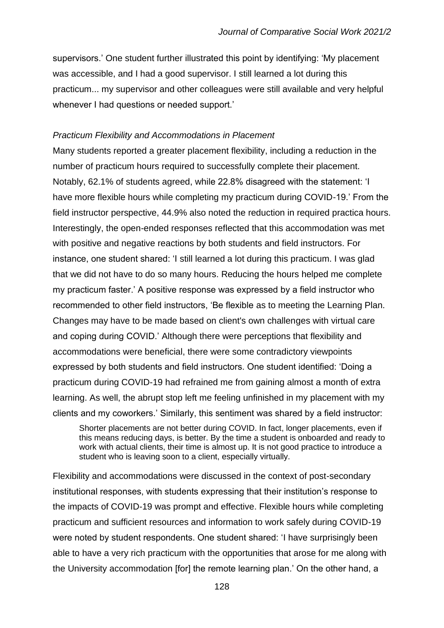supervisors.' One student further illustrated this point by identifying: 'My placement was accessible, and I had a good supervisor. I still learned a lot during this practicum... my supervisor and other colleagues were still available and very helpful whenever I had questions or needed support.'

### *Practicum Flexibility and Accommodations in Placement*

Many students reported a greater placement flexibility, including a reduction in the number of practicum hours required to successfully complete their placement. Notably, 62.1% of students agreed, while 22.8% disagreed with the statement: 'I have more flexible hours while completing my practicum during COVID-19.' From the field instructor perspective, 44.9% also noted the reduction in required practica hours. Interestingly, the open-ended responses reflected that this accommodation was met with positive and negative reactions by both students and field instructors. For instance, one student shared: 'I still learned a lot during this practicum. I was glad that we did not have to do so many hours. Reducing the hours helped me complete my practicum faster.' A positive response was expressed by a field instructor who recommended to other field instructors, 'Be flexible as to meeting the Learning Plan. Changes may have to be made based on client's own challenges with virtual care and coping during COVID.' Although there were perceptions that flexibility and accommodations were beneficial, there were some contradictory viewpoints expressed by both students and field instructors. One student identified: 'Doing a practicum during COVID-19 had refrained me from gaining almost a month of extra learning. As well, the abrupt stop left me feeling unfinished in my placement with my clients and my coworkers.' Similarly, this sentiment was shared by a field instructor:

Shorter placements are not better during COVID. In fact, longer placements, even if this means reducing days, is better. By the time a student is onboarded and ready to work with actual clients, their time is almost up. It is not good practice to introduce a student who is leaving soon to a client, especially virtually.

Flexibility and accommodations were discussed in the context of post-secondary institutional responses, with students expressing that their institution's response to the impacts of COVID-19 was prompt and effective. Flexible hours while completing practicum and sufficient resources and information to work safely during COVID-19 were noted by student respondents. One student shared: 'I have surprisingly been able to have a very rich practicum with the opportunities that arose for me along with the University accommodation [for] the remote learning plan.' On the other hand, a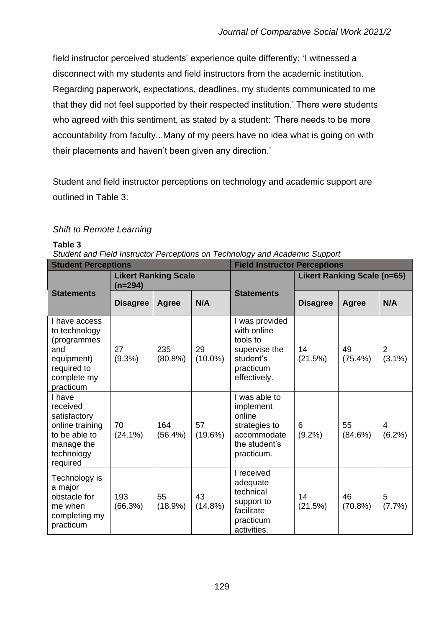field instructor perceived students' experience quite differently: 'I witnessed a disconnect with my students and field instructors from the academic institution. Regarding paperwork, expectations, deadlines, my students communicated to me that they did not feel supported by their respected institution.' There were students who agreed with this sentiment, as stated by a student: 'There needs to be more accountability from faculty...Many of my peers have no idea what is going on with their placements and haven't been given any direction.'

Student and field instructor perceptions on technology and academic support are outlined in Table 3:

# *Shift to Remote Learning*

#### **Table 3**

*Student and Field Instructor Perceptions on Technology and Academic Support*

| <b>Student Perceptions</b>                                                                                     |                                          |                | <b>Field Instructor Perceptions</b> |                                                                                                      |                                    |                  |                             |
|----------------------------------------------------------------------------------------------------------------|------------------------------------------|----------------|-------------------------------------|------------------------------------------------------------------------------------------------------|------------------------------------|------------------|-----------------------------|
|                                                                                                                | <b>Likert Ranking Scale</b><br>$(n=294)$ |                |                                     |                                                                                                      | <b>Likert Ranking Scale (n=65)</b> |                  |                             |
| <b>Statements</b>                                                                                              | <b>Disagree</b>                          | <b>Agree</b>   | N/A                                 | <b>Statements</b>                                                                                    | <b>Disagree</b>                    | <b>Agree</b>     | N/A                         |
| I have access<br>to technology<br>(programmes<br>and<br>equipment)<br>required to<br>complete my<br>practicum  | 27<br>$(9.3\%)$                          | 235<br>(80.8%) | 29<br>$(10.0\%)$                    | I was provided<br>with online<br>tools to<br>supervise the<br>student's<br>practicum<br>effectively. | 14<br>(21.5%)                      | 49<br>$(75.4\%)$ | $\overline{2}$<br>$(3.1\%)$ |
| I have<br>received<br>satisfactory<br>online training<br>to be able to<br>manage the<br>technology<br>required | 70<br>$(24.1\%)$                         | 164<br>(56.4%) | 57<br>(19.6%)                       | I was able to<br>implement<br>online<br>strategies to<br>accommodate<br>the student's<br>practicum.  | 6<br>$(9.2\%)$                     | 55<br>(84.6%)    | 4<br>(6.2%)                 |
| Technology is<br>a major<br>obstacle for<br>me when<br>completing my<br>practicum                              | 193<br>(66.3%)                           | 55<br>(18.9%)  | 43<br>$(14.8\%)$                    | I received<br>adequate<br>technical<br>support to<br>facilitate<br>practicum<br>activities.          | 14<br>(21.5%)                      | 46<br>(70.8%)    | 5<br>(7.7%)                 |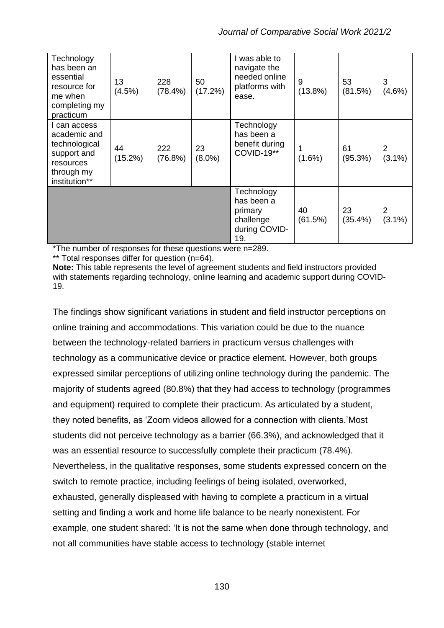| Technology<br>has been an<br>essential<br>resource for<br>me when<br>completing my<br>practicum          | 13<br>(4.5%)  | 228<br>$(78.4\%)$ | 50<br>(17.2%)   | I was able to<br>navigate the<br>needed online<br>platforms with<br>ease. | 9<br>$(13.8\%)$ | 53<br>(81.5%)    | 3<br>$(4.6\%)$ |
|----------------------------------------------------------------------------------------------------------|---------------|-------------------|-----------------|---------------------------------------------------------------------------|-----------------|------------------|----------------|
| I can access<br>academic and<br>technological<br>support and<br>resources<br>through my<br>institution** | 44<br>(15.2%) | 222<br>(76.8%)    | 23<br>$(8.0\%)$ | Technology<br>has been a<br>benefit during<br><b>COVID-19**</b>           | $(1.6\%)$       | 61<br>(95.3%)    | 2<br>$(3.1\%)$ |
|                                                                                                          |               |                   |                 | Technology<br>has been a<br>primary<br>challenge<br>during COVID-<br>19.  | 40<br>(61.5%)   | 23<br>$(35.4\%)$ | 2<br>$(3.1\%)$ |

\*The number of responses for these questions were n=289.

\*\* Total responses differ for question (n=64).

**Note:** This table represents the level of agreement students and field instructors provided with statements regarding technology, online learning and academic support during COVID-19.

The findings show significant variations in student and field instructor perceptions on online training and accommodations. This variation could be due to the nuance between the technology-related barriers in practicum versus challenges with technology as a communicative device or practice element. However, both groups expressed similar perceptions of utilizing online technology during the pandemic. The majority of students agreed (80.8%) that they had access to technology (programmes and equipment) required to complete their practicum. As articulated by a student, they noted benefits, as 'Zoom videos allowed for a connection with clients.'Most students did not perceive technology as a barrier (66.3%), and acknowledged that it was an essential resource to successfully complete their practicum (78.4%). Nevertheless, in the qualitative responses, some students expressed concern on the switch to remote practice, including feelings of being isolated, overworked, exhausted, generally displeased with having to complete a practicum in a virtual setting and finding a work and home life balance to be nearly nonexistent. For example, one student shared: 'It is not the same when done through technology, and not all communities have stable access to technology (stable internet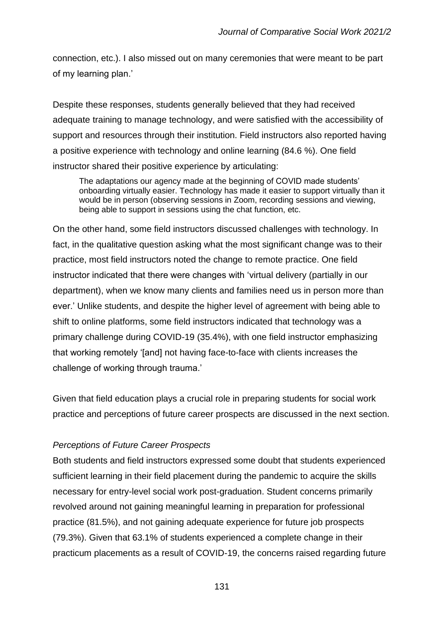connection, etc.). I also missed out on many ceremonies that were meant to be part of my learning plan.'

Despite these responses, students generally believed that they had received adequate training to manage technology, and were satisfied with the accessibility of support and resources through their institution. Field instructors also reported having a positive experience with technology and online learning (84.6 %). One field instructor shared their positive experience by articulating:

The adaptations our agency made at the beginning of COVID made students' onboarding virtually easier. Technology has made it easier to support virtually than it would be in person (observing sessions in Zoom, recording sessions and viewing, being able to support in sessions using the chat function, etc.

On the other hand, some field instructors discussed challenges with technology. In fact, in the qualitative question asking what the most significant change was to their practice, most field instructors noted the change to remote practice. One field instructor indicated that there were changes with 'virtual delivery (partially in our department), when we know many clients and families need us in person more than ever.' Unlike students, and despite the higher level of agreement with being able to shift to online platforms, some field instructors indicated that technology was a primary challenge during COVID-19 (35.4%), with one field instructor emphasizing that working remotely '[and] not having face-to-face with clients increases the challenge of working through trauma.'

Given that field education plays a crucial role in preparing students for social work practice and perceptions of future career prospects are discussed in the next section.

## *Perceptions of Future Career Prospects*

Both students and field instructors expressed some doubt that students experienced sufficient learning in their field placement during the pandemic to acquire the skills necessary for entry-level social work post-graduation. Student concerns primarily revolved around not gaining meaningful learning in preparation for professional practice (81.5%), and not gaining adequate experience for future job prospects (79.3%). Given that 63.1% of students experienced a complete change in their practicum placements as a result of COVID-19, the concerns raised regarding future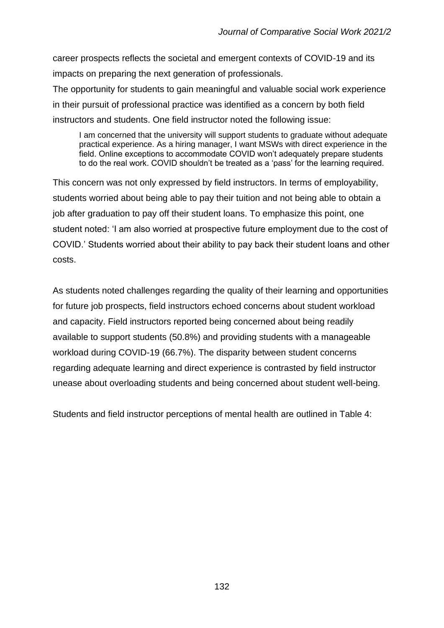career prospects reflects the societal and emergent contexts of COVID-19 and its impacts on preparing the next generation of professionals.

The opportunity for students to gain meaningful and valuable social work experience in their pursuit of professional practice was identified as a concern by both field instructors and students. One field instructor noted the following issue:

I am concerned that the university will support students to graduate without adequate practical experience. As a hiring manager, I want MSWs with direct experience in the field. Online exceptions to accommodate COVID won't adequately prepare students to do the real work. COVID shouldn't be treated as a 'pass' for the learning required.

This concern was not only expressed by field instructors. In terms of employability, students worried about being able to pay their tuition and not being able to obtain a job after graduation to pay off their student loans. To emphasize this point, one student noted: 'I am also worried at prospective future employment due to the cost of COVID.' Students worried about their ability to pay back their student loans and other costs.

As students noted challenges regarding the quality of their learning and opportunities for future job prospects, field instructors echoed concerns about student workload and capacity. Field instructors reported being concerned about being readily available to support students (50.8%) and providing students with a manageable workload during COVID-19 (66.7%). The disparity between student concerns regarding adequate learning and direct experience is contrasted by field instructor unease about overloading students and being concerned about student well-being.

Students and field instructor perceptions of mental health are outlined in Table 4: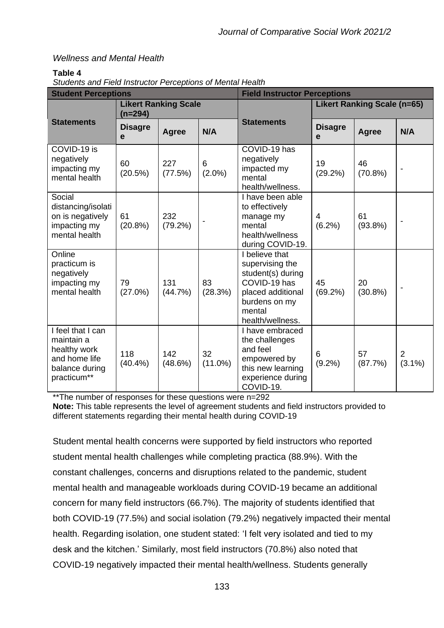# *Wellness and Mental Health*

## **Table 4**

*Students and Field Instructor Perceptions of Mental Health*

| <b>Student Perceptions</b>                                                                        |                                        |                | <b>Field Instructor Perceptions</b> |                                                                                                                                            |                                    |                  |                          |
|---------------------------------------------------------------------------------------------------|----------------------------------------|----------------|-------------------------------------|--------------------------------------------------------------------------------------------------------------------------------------------|------------------------------------|------------------|--------------------------|
|                                                                                                   | <b>Likert Ranking Scale</b><br>(n=294) |                |                                     |                                                                                                                                            | <b>Likert Ranking Scale (n=65)</b> |                  |                          |
| <b>Statements</b>                                                                                 | <b>Disagre</b><br>e                    | <b>Agree</b>   | N/A                                 | <b>Statements</b>                                                                                                                          | <b>Disagre</b><br>e                | <b>Agree</b>     | N/A                      |
| COVID-19 is<br>negatively<br>impacting my<br>mental health                                        | 60<br>(20.5%)                          | 227<br>(77.5%) | 6<br>$(2.0\%)$                      | COVID-19 has<br>negatively<br>impacted my<br>mental<br>health/wellness.                                                                    | 19<br>(29.2%)                      | 46<br>(70.8%)    |                          |
| Social<br>distancing/isolati<br>on is negatively<br>impacting my<br>mental health                 | 61<br>(20.8%)                          | 232<br>(79.2%) |                                     | I have been able<br>to effectively<br>manage my<br>mental<br>health/wellness<br>during COVID-19.                                           | 4<br>$(6.2\%)$                     | 61<br>$(93.8\%)$ |                          |
| Online<br>practicum is<br>negatively<br>impacting my<br>mental health                             | 79<br>$(27.0\%)$                       | 131<br>(44.7%) | 83<br>(28.3%)                       | I believe that<br>supervising the<br>student(s) during<br>COVID-19 has<br>placed additional<br>burdens on my<br>mental<br>health/wellness. | 45<br>(69.2%)                      | 20<br>$(30.8\%)$ | $\overline{\phantom{a}}$ |
| I feel that I can<br>maintain a<br>healthy work<br>and home life<br>balance during<br>practicum** | 118<br>(40.4%                          | 142<br>(48.6%) | 32<br>$(11.0\%)$                    | I have embraced<br>the challenges<br>and feel<br>empowered by<br>this new learning<br>experience during<br>COVID-19.                       | 6<br>$(9.2\%)$                     | 57<br>(87.7%)    | 2<br>$(3.1\%)$           |

\*\*The number of responses for these questions were n=292 **Note:** This table represents the level of agreement students and field instructors provided to different statements regarding their mental health during COVID-19

Student mental health concerns were supported by field instructors who reported student mental health challenges while completing practica (88.9%). With the constant challenges, concerns and disruptions related to the pandemic, student mental health and manageable workloads during COVID-19 became an additional concern for many field instructors (66.7%). The majority of students identified that both COVID-19 (77.5%) and social isolation (79.2%) negatively impacted their mental health. Regarding isolation, one student stated: 'I felt very isolated and tied to my desk and the kitchen.' Similarly, most field instructors (70.8%) also noted that COVID-19 negatively impacted their mental health/wellness. Students generally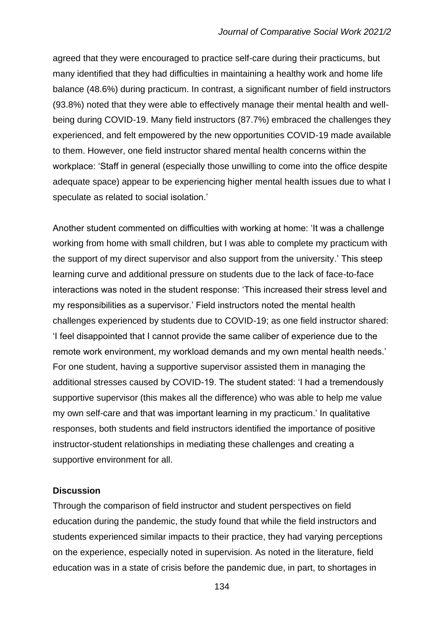agreed that they were encouraged to practice self-care during their practicums, but many identified that they had difficulties in maintaining a healthy work and home life balance (48.6%) during practicum. In contrast, a significant number of field instructors (93.8%) noted that they were able to effectively manage their mental health and wellbeing during COVID-19. Many field instructors (87.7%) embraced the challenges they experienced, and felt empowered by the new opportunities COVID-19 made available to them. However, one field instructor shared mental health concerns within the workplace: 'Staff in general (especially those unwilling to come into the office despite adequate space) appear to be experiencing higher mental health issues due to what I speculate as related to social isolation.'

Another student commented on difficulties with working at home: 'It was a challenge working from home with small children, but I was able to complete my practicum with the support of my direct supervisor and also support from the university.' This steep learning curve and additional pressure on students due to the lack of face-to-face interactions was noted in the student response: 'This increased their stress level and my responsibilities as a supervisor.' Field instructors noted the mental health challenges experienced by students due to COVID-19; as one field instructor shared: 'I feel disappointed that I cannot provide the same caliber of experience due to the remote work environment, my workload demands and my own mental health needs.' For one student, having a supportive supervisor assisted them in managing the additional stresses caused by COVID-19. The student stated: 'I had a tremendously supportive supervisor (this makes all the difference) who was able to help me value my own self-care and that was important learning in my practicum.' In qualitative responses, both students and field instructors identified the importance of positive instructor-student relationships in mediating these challenges and creating a supportive environment for all.

#### **Discussion**

Through the comparison of field instructor and student perspectives on field education during the pandemic, the study found that while the field instructors and students experienced similar impacts to their practice, they had varying perceptions on the experience, especially noted in supervision. As noted in the literature, field education was in a state of crisis before the pandemic due, in part, to shortages in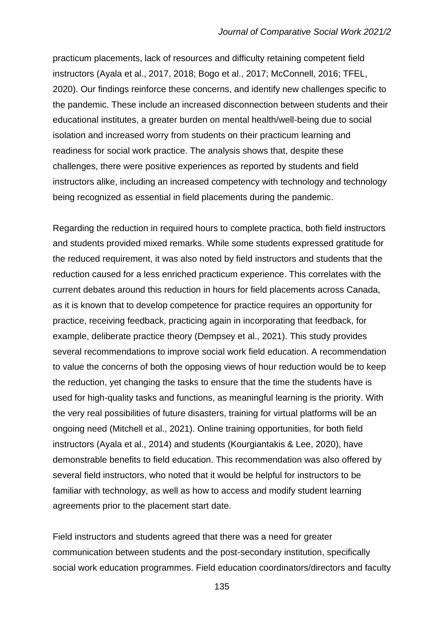practicum placements, lack of resources and difficulty retaining competent field instructors (Ayala et al., 2017, 2018; Bogo et al., 2017; McConnell, 2016; TFEL, 2020). Our findings reinforce these concerns, and identify new challenges specific to the pandemic. These include an increased disconnection between students and their educational institutes, a greater burden on mental health/well-being due to social isolation and increased worry from students on their practicum learning and readiness for social work practice. The analysis shows that, despite these challenges, there were positive experiences as reported by students and field instructors alike, including an increased competency with technology and technology being recognized as essential in field placements during the pandemic.

Regarding the reduction in required hours to complete practica, both field instructors and students provided mixed remarks. While some students expressed gratitude for the reduced requirement, it was also noted by field instructors and students that the reduction caused for a less enriched practicum experience. This correlates with the current debates around this reduction in hours for field placements across Canada, as it is known that to develop competence for practice requires an opportunity for practice, receiving feedback, practicing again in incorporating that feedback, for example, deliberate practice theory (Dempsey et al., 2021). This study provides several recommendations to improve social work field education. A recommendation to value the concerns of both the opposing views of hour reduction would be to keep the reduction, yet changing the tasks to ensure that the time the students have is used for high-quality tasks and functions, as meaningful learning is the priority. With the very real possibilities of future disasters, training for virtual platforms will be an ongoing need (Mitchell et al., 2021). Online training opportunities, for both field instructors (Ayala et al., 2014) and students (Kourgiantakis & Lee, 2020), have demonstrable benefits to field education. This recommendation was also offered by several field instructors, who noted that it would be helpful for instructors to be familiar with technology, as well as how to access and modify student learning agreements prior to the placement start date.

Field instructors and students agreed that there was a need for greater communication between students and the post-secondary institution, specifically social work education programmes. Field education coordinators/directors and faculty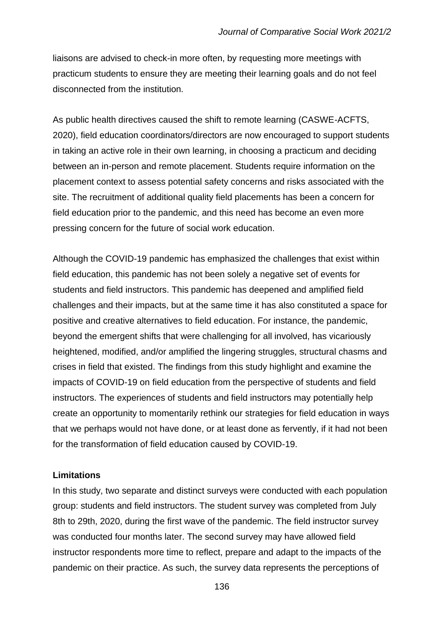liaisons are advised to check-in more often, by requesting more meetings with practicum students to ensure they are meeting their learning goals and do not feel disconnected from the institution.

As public health directives caused the shift to remote learning (CASWE-ACFTS, 2020), field education coordinators/directors are now encouraged to support students in taking an active role in their own learning, in choosing a practicum and deciding between an in-person and remote placement. Students require information on the placement context to assess potential safety concerns and risks associated with the site. The recruitment of additional quality field placements has been a concern for field education prior to the pandemic, and this need has become an even more pressing concern for the future of social work education.

Although the COVID-19 pandemic has emphasized the challenges that exist within field education, this pandemic has not been solely a negative set of events for students and field instructors. This pandemic has deepened and amplified field challenges and their impacts, but at the same time it has also constituted a space for positive and creative alternatives to field education. For instance, the pandemic, beyond the emergent shifts that were challenging for all involved, has vicariously heightened, modified, and/or amplified the lingering struggles, structural chasms and crises in field that existed. The findings from this study highlight and examine the impacts of COVID-19 on field education from the perspective of students and field instructors. The experiences of students and field instructors may potentially help create an opportunity to momentarily rethink our strategies for field education in ways that we perhaps would not have done, or at least done as fervently, if it had not been for the transformation of field education caused by COVID-19.

## **Limitations**

In this study, two separate and distinct surveys were conducted with each population group: students and field instructors. The student survey was completed from July 8th to 29th, 2020, during the first wave of the pandemic. The field instructor survey was conducted four months later. The second survey may have allowed field instructor respondents more time to reflect, prepare and adapt to the impacts of the pandemic on their practice. As such, the survey data represents the perceptions of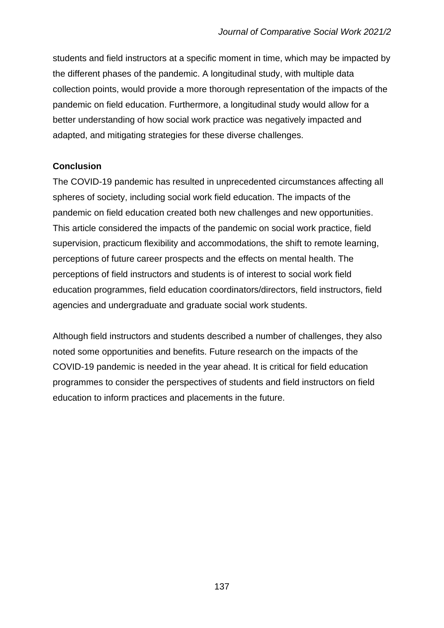students and field instructors at a specific moment in time, which may be impacted by the different phases of the pandemic. A longitudinal study, with multiple data collection points, would provide a more thorough representation of the impacts of the pandemic on field education. Furthermore, a longitudinal study would allow for a better understanding of how social work practice was negatively impacted and adapted, and mitigating strategies for these diverse challenges.

# **Conclusion**

The COVID-19 pandemic has resulted in unprecedented circumstances affecting all spheres of society, including social work field education. The impacts of the pandemic on field education created both new challenges and new opportunities. This article considered the impacts of the pandemic on social work practice, field supervision, practicum flexibility and accommodations, the shift to remote learning, perceptions of future career prospects and the effects on mental health. The perceptions of field instructors and students is of interest to social work field education programmes, field education coordinators/directors, field instructors, field agencies and undergraduate and graduate social work students.

Although field instructors and students described a number of challenges, they also noted some opportunities and benefits. Future research on the impacts of the COVID-19 pandemic is needed in the year ahead. It is critical for field education programmes to consider the perspectives of students and field instructors on field education to inform practices and placements in the future.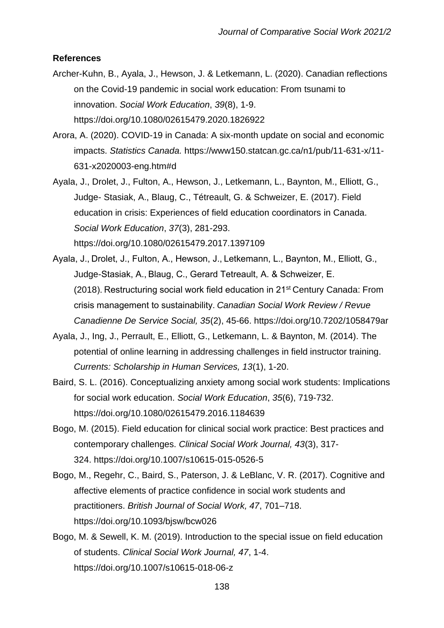#### **References**

- Archer-Kuhn, B., Ayala, J., Hewson, J. & Letkemann, L. (2020). Canadian reflections on the Covid-19 pandemic in social work education: From tsunami to innovation. *Social Work Education*, *39*(8), 1-9. https://doi.org/10.1080/02615479.2020.1826922
- Arora, A. (2020). COVID-19 in Canada: A six-month update on social and economic impacts. *Statistics Canada.* https://www150.statcan.gc.ca/n1/pub/11-631-x/11- 631-x2020003-eng.htm#d
- Ayala, J., Drolet, J., Fulton, A., Hewson, J., Letkemann, L., Baynton, M., Elliott, G., Judge- Stasiak, A., Blaug, C., Tétreault, G. & Schweizer, E. (2017). Field education in crisis: Experiences of field education coordinators in Canada. *Social Work Education*, *37*(3), 281-293. https://doi.org/10.1080/02615479.2017.1397109
- Ayala, J., Drolet, J., Fulton, A., Hewson, J., Letkemann, L., Baynton, M., Elliott, G., Judge-Stasiak, A., Blaug, C., Gerard Tetreault, A. & Schweizer, E. (2018). Restructuring social work field education in 21st Century Canada: From crisis management to sustainability. *Canadian Social Work Review / Revue Canadienne De Service Social, 35*(2), 45-66. https://doi.org/10.7202/1058479ar
- Ayala, J., Ing, J., Perrault, E., Elliott, G., Letkemann, L. & Baynton, M. (2014). The potential of online learning in addressing challenges in field instructor training. *Currents: Scholarship in Human Services, 13*(1), 1-20.
- Baird, S. L. (2016). Conceptualizing anxiety among social work students: Implications for social work education. *Social Work Education*, *35*(6), 719-732. https://doi.org/10.1080/02615479.2016.1184639
- Bogo, M. (2015). Field education for clinical social work practice: Best practices and contemporary challenges. *Clinical Social Work Journal, 43*(3), 317- 324. https://doi.org/10.1007/s10615-015-0526-5
- Bogo, M., Regehr, C., Baird, S., Paterson, J. & LeBlanc, V. R. (2017). Cognitive and affective elements of practice confidence in social work students and practitioners. *British Journal of Social Work, 47*, 701–718. https://doi.org/10.1093/bjsw/bcw026
- Bogo, M. & Sewell, K. M. (2019). Introduction to the special issue on field education of students. *Clinical Social Work Journal, 47*, 1-4. https://doi.org/10.1007/s10615-018-06-z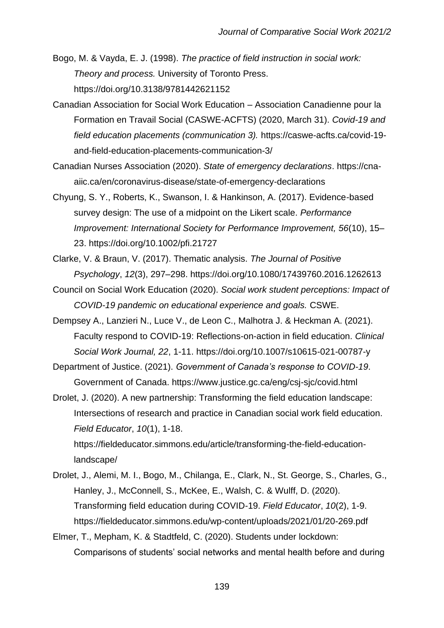Bogo, M. & Vayda, E. J. (1998). *The practice of field instruction in social work: Theory and process.* University of Toronto Press. https://doi.org/10.3138/9781442621152

- Canadian Association for Social Work Education Association Canadienne pour la Formation en Travail Social (CASWE-ACFTS) (2020, March 31). *Covid-19 and field education placements (communication 3).* https://caswe-acfts.ca/covid-19 and-field-education-placements-communication-3/
- Canadian Nurses Association (2020). *State of emergency declarations*. https://cnaaiic.ca/en/coronavirus-disease/state-of-emergency-declarations
- Chyung, S. Y., Roberts, K., Swanson, I. & Hankinson, A. (2017). Evidence-based survey design: The use of a midpoint on the Likert scale. *Performance Improvement: International Society for Performance Improvement, 56*(10), 15– 23. https://doi.org/10.1002/pfi.21727
- Clarke, V. & Braun, V. (2017). Thematic analysis. *The Journal of Positive Psychology*, *12*(3), 297–298. https://doi.org/10.1080/17439760.2016.1262613
- Council on Social Work Education (2020). *Social work student perceptions: Impact of COVID-19 pandemic on educational experience and goals.* CSWE.
- Dempsey A., Lanzieri N., Luce V., de Leon C., Malhotra J. & Heckman A. (2021). Faculty respond to COVID-19: Reflections-on-action in field education. *Clinical Social Work Journal, 22*, 1-11. https://doi.org/10.1007/s10615-021-00787-y
- Department of Justice. (2021). *Government of Canada's response to COVID-19*. Government of Canada. https://www.justice.gc.ca/eng/csj-sjc/covid.html
- Drolet, J. (2020). A new partnership: Transforming the field education landscape: Intersections of research and practice in Canadian social work field education. *Field Educator*, *10*(1), 1-18. https://fieldeducator.simmons.edu/article/transforming-the-field-education-

landscape/

- Drolet, J., Alemi, M. I., Bogo, M., Chilanga, E., Clark, N., St. George, S., Charles, G., Hanley, J., McConnell, S., McKee, E., Walsh, C. & Wulff, D. (2020). Transforming field education during COVID-19. *Field Educator*, *10*(2), 1-9. https://fieldeducator.simmons.edu/wp-content/uploads/2021/01/20-269.pdf
- Elmer, T., Mepham, K. & Stadtfeld, C. (2020). Students under lockdown: Comparisons of students' social networks and mental health before and during